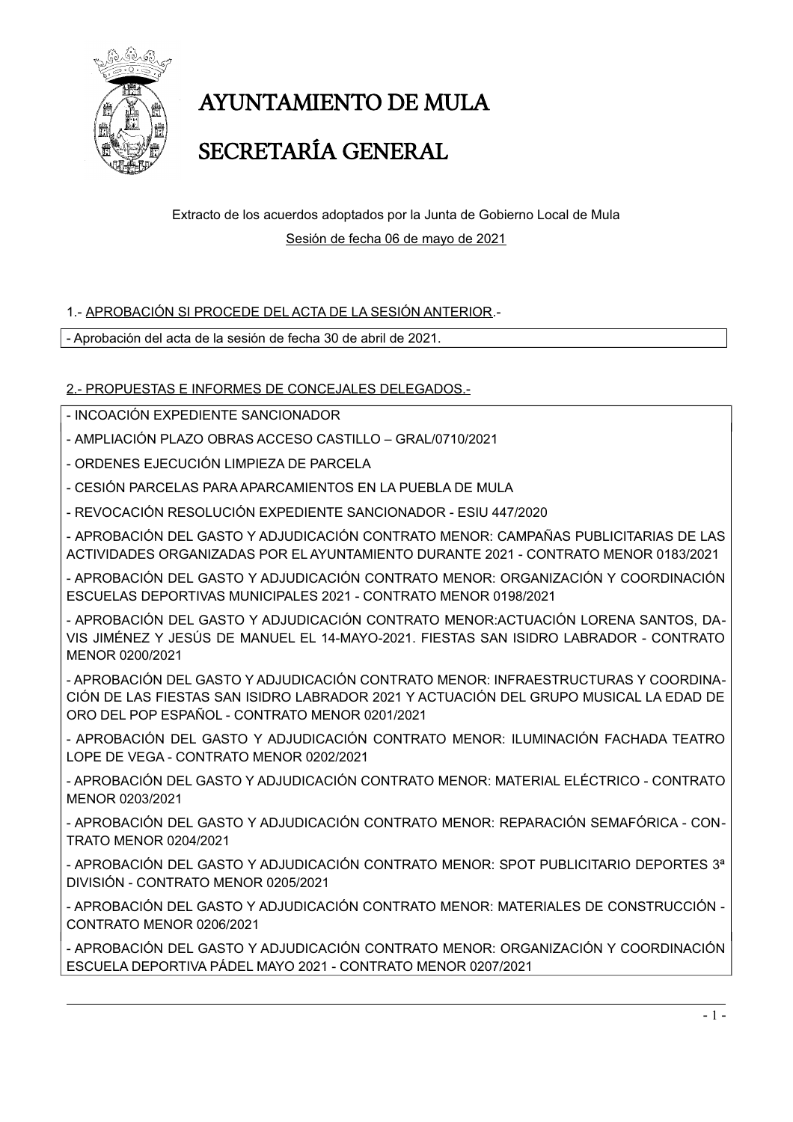

# **AYUNTAMIENTO DE MULA**

### SECRETARÍA GENERAL

Extracto de los acuerdos adoptados por la Junta de Gobierno Local de Mula Sesión de fecha 06 de mayo de 2021

### 1.- APROBACIÓN SI PROCEDE DEL ACTA DE LA SESIÓN ANTERIOR.-

- Aprobación del acta de la sesión de fecha 30 de abril de 2021.

### 2.- PROPUESTAS E INFORMES DE CONCEJALES DELEGADOS.-

- INCOACIÓN EXPEDIENTE SANCIONADOR

- AMPLIACIÓN PLAZO OBRAS ACCESO CASTILLO GRAL/0710/2021
- ORDENES EJECUCIÓN LIMPIEZA DE PARCELA

- CESIÓN PARCELAS PARA APARCAMIENTOS EN LA PUEBLA DE MULA

- REVOCACIÓN RESOLUCIÓN EXPEDIENTE SANCIONADOR - ESIU 447/2020

- APROBACIÓN DEL GASTO Y ADJUDICACIÓN CONTRATO MENOR: CAMPAÑAS PUBLICITARIAS DE LAS ACTIVIDADES ORGANIZADAS POR EL AYUNTAMIENTO DURANTE 2021 - CONTRATO MENOR 0183/2021

- APROBACIÓN DEL GASTO Y ADJUDICACIÓN CONTRATO MENOR: ORGANIZACIÓN Y COORDINACIÓN FSCUFI AS DEPORTIVAS MUNICIPALES 2021 - CONTRATO MENOR 0198/2021

- APROBACIÓN DEL GASTO Y ADJUDICACIÓN CONTRATO MENOR: ACTUACIÓN LORENA SANTOS, DA-VIS JIMÉNEZ Y JESÚS DE MANUEL EL 14-MAYO-2021. FIESTAS SAN ISIDRO LABRADOR - CONTRATO MFNOR 0200/2021

- APROBACIÓN DEL GASTO Y ADJUDICACIÓN CONTRATO MENOR: INFRAESTRUCTURAS Y COORDINA-CIÓN DE LAS FIESTAS SAN ISIDRO LABRADOR 2021 Y ACTUACIÓN DEL GRUPO MUSICAL LA EDAD DE ORO DEL POP ESPAÑOL - CONTRATO MENOR 0201/2021

- APROBACIÓN DEL GASTO Y ADJUDICACIÓN CONTRATO MENOR: ILUMINACIÓN FACHADA TEATRO LOPE DE VEGA - CONTRATO MENOR 0202/2021

- APROBACIÓN DEL GASTO Y ADJUDICACIÓN CONTRATO MENOR: MATERIAL ELÉCTRICO - CONTRATO MENOR 0203/2021

- APROBACIÓN DEL GASTO Y ADJUDICACIÓN CONTRATO MENOR: REPARACIÓN SEMAFÓRICA - CON-**TRATO MENOR 0204/2021** 

- APROBACIÓN DEL GASTO Y ADJUDICACIÓN CONTRATO MENOR: SPOT PUBLICITARIO DEPORTES 3ª DIVISIÓN - CONTRATO MENOR 0205/2021

- APROBACIÓN DEL GASTO Y ADJUDICACIÓN CONTRATO MENOR: MATERIALES DE CONSTRUCCIÓN -CONTRATO MENOR 0206/2021

- APROBACIÓN DEL GASTO Y ADJUDICACIÓN CONTRATO MENOR: ORGANIZACIÓN Y COORDINACIÓN ESCUELA DEPORTIVA PÁDEL MAYO 2021 - CONTRATO MENOR 0207/2021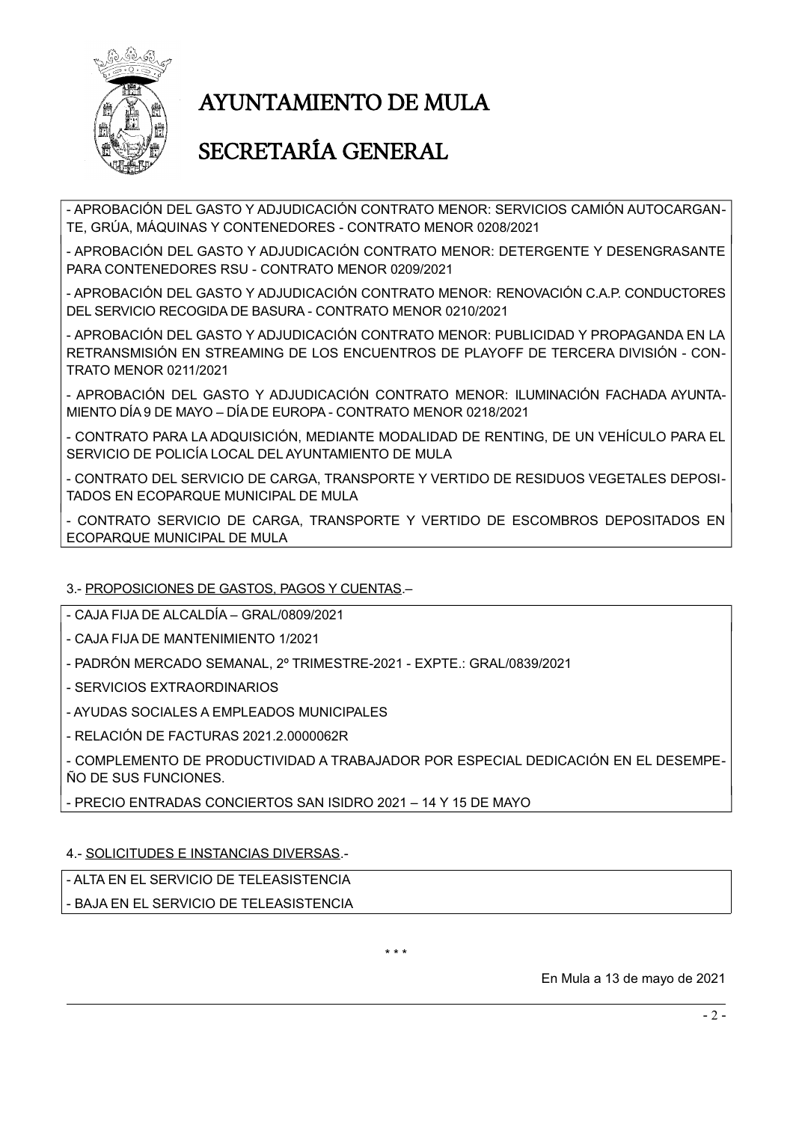

# **AYUNTAMIENTO DE MULA**

### SECRETARÍA GENERAL

- APROBACIÓN DEL GASTO Y ADJUDICACIÓN CONTRATO MENOR: SERVICIOS CAMIÓN AUTOCARGAN-TE, GRÚA, MÁQUINAS Y CONTENEDORES - CONTRATO MENOR 0208/2021

- APROBACIÓN DEL GASTO Y ADJUDICACIÓN CONTRATO MENOR: DETERGENTE Y DESENGRASANTE PARA CONTENEDORES RSU - CONTRATO MENOR 0209/2021

- APROBACIÓN DEL GASTO Y ADJUDICACIÓN CONTRATO MENOR: RENOVACIÓN C.A.P. CONDUCTORES DEL SERVICIO RECOGIDA DE BASURA - CONTRATO MENOR 0210/2021

- APROBACIÓN DEL GASTO Y ADJUDICACIÓN CONTRATO MENOR: PUBLICIDAD Y PROPAGANDA EN LA RETRANSMISIÓN EN STREAMING DE LOS ENCUENTROS DE PLAYOFF DE TERCERA DIVISIÓN - CON-**TRATO MENOR 0211/2021** 

- APROBACIÓN DEL GASTO Y ADJUDICACIÓN CONTRATO MENOR: ILUMINACIÓN FACHADA AYUNTA-MIENTO DÍA 9 DE MAYO - DÍA DE EUROPA - CONTRATO MENOR 0218/2021

- CONTRATO PARA LA ADQUISICIÓN, MEDIANTE MODALIDAD DE RENTING, DE UN VEHÍCULO PARA EL SERVICIO DE POLICÍA LOCAL DEL AYUNTAMIENTO DE MULA

- CONTRATO DEL SERVICIO DE CARGA. TRANSPORTE Y VERTIDO DE RESIDUOS VEGETALES DEPOSI-TADOS EN ECOPARQUE MUNICIPAL DE MULA

- CONTRATO SERVICIO DE CARGA, TRANSPORTE Y VERTIDO DE ESCOMBROS DEPOSITADOS EN ECOPARQUE MUNICIPAL DE MULA

### 3.- PROPOSICIONES DE GASTOS, PAGOS Y CUENTAS.-

- CAJA FIJA DE ALCALDÍA - GRAL/0809/2021

- CAJA FIJA DE MANTENIMIENTO 1/2021

- PADRÓN MERCADO SEMANAL, 2º TRIMESTRE-2021 - EXPTE.: GRAL/0839/2021

- SERVICIOS EXTRAORDINARIOS

- AYUDAS SOCIALES A EMPLEADOS MUNICIPALES

- RELACIÓN DE FACTURAS 2021.2.0000062R

- COMPLEMENTO DE PRODUCTIVIDAD A TRABAJADOR POR ESPECIAL DEDICACIÓN EN EL DESEMPE-ÑO DE SUS FUNCIONES.

- PRECIO ENTRADAS CONCIERTOS SAN ISIDRO 2021 - 14 Y 15 DE MAYO

#### 4.- SOLICITUDES E INSTANCIAS DIVERSAS.-

- ALTA EN EL SERVICIO DE TELEASISTENCIA

- BAJA EN EL SERVICIO DE TELEASISTENCIA

 $* * *$ 

En Mula a 13 de mayo de 2021